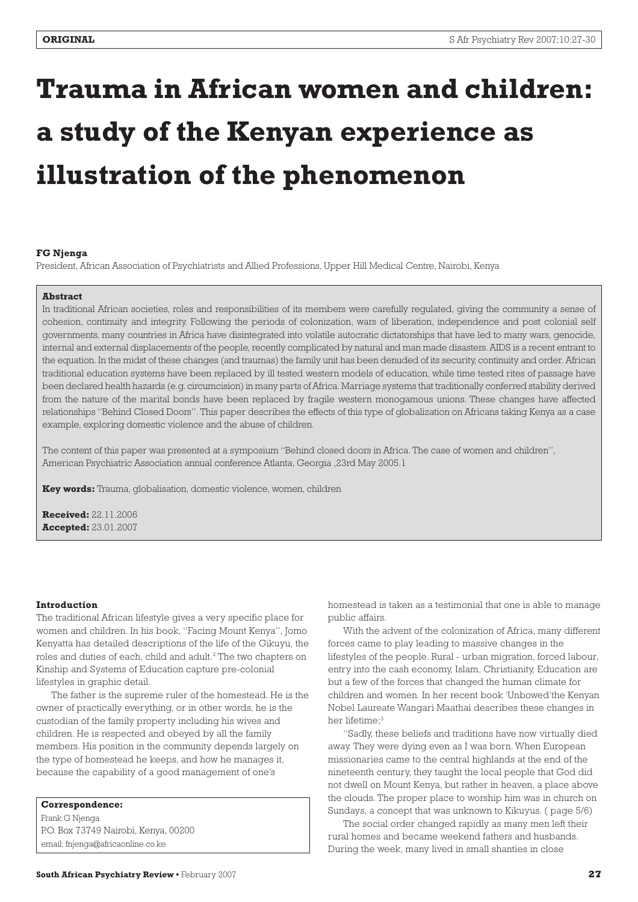# **Trauma in African women and children: a study of the Kenyan experience as illustration of the phenomenon**

## **FG Njenga**

President, African Association of Psychiatrists and Allied Professions, Upper Hill Medical Centre, Nairobi, Kenya

## **Abstract**

In traditional African societies, roles and responsibilities of its members were carefully regulated, giving the community a sense of cohesion, continuity and integrity. Following the periods of colonization, wars of liberation, independence and post colonial self governments, many countries in Africa have disintegrated into volatile autocratic dictatorships that have led to many wars, genocide, internal and external displacements of the people, recently complicated by natural and man made disasters. AIDS is a recent entrant to the equation. In the midst of these changes (and traumas) the family unit has been denuded of its security, continuity and order. African traditional education systems have been replaced by ill tested western models of education, while time tested rites of passage have been declared health hazards (e.g. circumcision) in many parts of Africa. Marriage systems that traditionally conferred stability derived from the nature of the marital bonds have been replaced by fragile western monogamous unions. These changes have affected relationships "Behind Closed Doors". This paper describes the effects of this type of globalization on Africans taking Kenya as a case example, exploring domestic violence and the abuse of children.

The content of this paper was presented at a symposium "Behind closed doors in Africa. The case of women and children", American Psychiatric Association annual conference Atlanta, Georgia ,23rd May 2005.1

**Key words:** Trauma, globalisation, domestic violence, women, children

**Received:** 22.11.2006 **Accepted:** 23.01.2007

# **Introduction**

The traditional African lifestyle gives a very specific place for women and children. In his book, "Facing Mount Kenya", Jomo Kenyatta has detailed descriptions of the life of the Gikuyu, the roles and duties of each, child and adult.<sup>2</sup> The two chapters on Kinship and Systems of Education capture pre-colonial lifestyles in graphic detail.

The father is the supreme ruler of the homestead. He is the owner of practically everything, or in other words, he is the custodian of the family property including his wives and children. He is respected and obeyed by all the family members. His position in the community depends largely on the type of homestead he keeps, and how he manages it, because the capability of a good management of one's

**Correspondence:**

Frank G Njenga P.O. Box 73749 Nairobi, Kenya, 00200 email: fnjenga@africaonline.co.ke

homestead is taken as a testimonial that one is able to manage public affairs.

With the advent of the colonization of Africa, many different forces came to play leading to massive changes in the lifestyles of the people. Rural - urban migration, forced labour, entry into the cash economy, Islam, Christianity, Education are but a few of the forces that changed the human climate for children and women. In her recent book 'Unbowed'the Kenyan Nobel Laureate Wangari Maathai describes these changes in her lifetime;3

"Sadly, these beliefs and traditions have now virtually died away. They were dying even as I was born. When European missionaries came to the central highlands at the end of the nineteenth century, they taught the local people that God did not dwell on Mount Kenya, but rather in heaven, a place above the clouds. The proper place to worship him was in church on Sundays, a concept that was unknown to Kikuyus. ( page 5/6)

The social order changed rapidly as many men left their rural homes and became weekend fathers and husbands. During the week, many lived in small shanties in close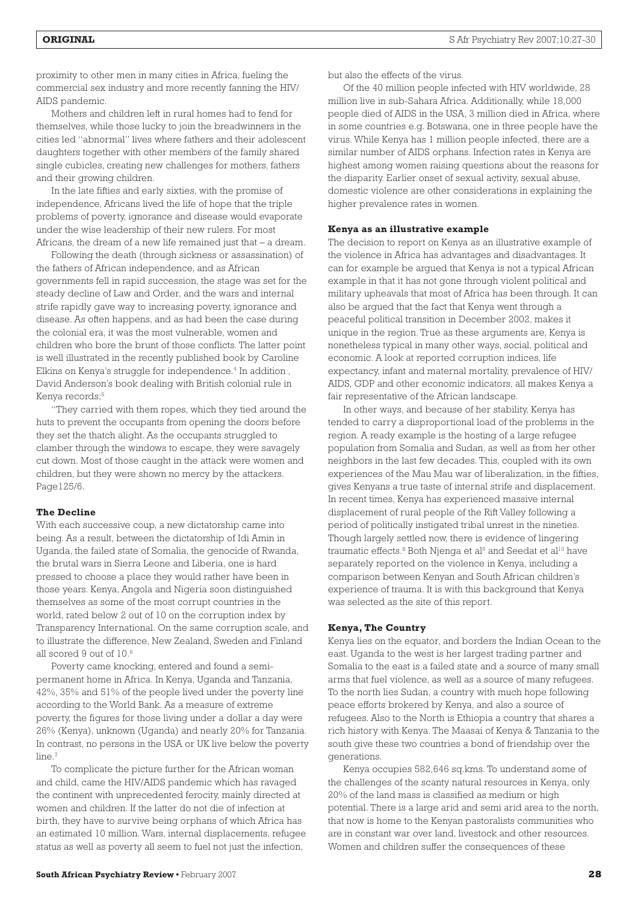proximity to other men in many cities in Africa, fueling the commercial sex industry and more recently fanning the HIV/ AIDS pandemic.

Mothers and children left in rural homes had to fend for themselves, while those lucky to join the breadwinners in the cities led "abnormal" lives where fathers and their adolescent daughters together with other members of the family shared single cubicles, creating new challenges for mothers, fathers and their growing children.

In the late fifties and early sixties, with the promise of independence, Africans lived the life of hope that the triple problems of poverty, ignorance and disease would evaporate under the wise leadership of their new rulers. For most Africans, the dream of a new life remained just that – a dream.

Following the death (through sickness or assassination) of the fathers of African independence, and as African governments fell in rapid succession, the stage was set for the steady decline of Law and Order, and the wars and internal strife rapidly gave way to increasing poverty, ignorance and disease. As often happens, and as had been the case during the colonial era, it was the most vulnerable, women and children who bore the brunt of those conflicts. The latter point is well illustrated in the recently published book by Caroline Elkins on Kenya's struggle for independence.<sup>4</sup> In addition , David Anderson's book dealing with British colonial rule in Kenya records;<sup>5</sup>

"They carried with them ropes, which they tied around the huts to prevent the occupants from opening the doors before they set the thatch alight. As the occupants struggled to clamber through the windows to escape, they were savagely cut down. Most of those caught in the attack were women and children, but they were shown no mercy by the attackers. Page125/6.

# **The Decline**

With each successive coup, a new dictatorship came into being. As a result, between the dictatorship of Idi Amin in Uganda, the failed state of Somalia, the genocide of Rwanda, the brutal wars in Sierra Leone and Liberia, one is hard pressed to choose a place they would rather have been in those years. Kenya, Angola and Nigeria soon distinguished themselves as some of the most corrupt countries in the world, rated below 2 out of 10 on the corruption index by Transparency International. On the same corruption scale, and to illustrate the difference, New Zealand, Sweden and Finland all scored 9 out of  $10^{-6}$ 

Poverty came knocking, entered and found a semipermanent home in Africa. In Kenya, Uganda and Tanzania, 42%, 35% and 51% of the people lived under the poverty line according to the World Bank. As a measure of extreme poverty, the figures for those living under a dollar a day were 26% (Kenya), unknown (Uganda) and nearly 20% for Tanzania. In contrast, no persons in the USA or UK live below the poverty line.<sup>7</sup>

To complicate the picture further for the African woman and child, came the HIV/AIDS pandemic which has ravaged the continent with unprecedented ferocity, mainly directed at women and children. If the latter do not die of infection at birth, they have to survive being orphans of which Africa has an estimated 10 million. Wars, internal displacements, refugee status as well as poverty all seem to fuel not just the infection,

Of the 40 million people infected with HIV worldwide, 28 million live in sub-Sahara Africa. Additionally, while 18,000 people died of AIDS in the USA, 3 million died in Africa, where in some countries e.g. Botswana, one in three people have the virus. While Kenya has 1 million people infected, there are a similar number of AIDS orphans. Infection rates in Kenya are highest among women raising questions about the reasons for the disparity. Earlier onset of sexual activity, sexual abuse, domestic violence are other considerations in explaining the higher prevalence rates in women.

#### **Kenya as an illustrative example**

The decision to report on Kenya as an illustrative example of the violence in Africa has advantages and disadvantages. It can for example be argued that Kenya is not a typical African example in that it has not gone through violent political and military upheavals that most of Africa has been through. It can also be argued that the fact that Kenya went through a peaceful political transition in December 2002, makes it unique in the region. True as these arguments are, Kenya is nonetheless typical in many other ways, social, political and economic. A look at reported corruption indices, life expectancy, infant and maternal mortality, prevalence of HIV/ AIDS, GDP and other economic indicators, all makes Kenya a fair representative of the African landscape.

In other ways, and because of her stability, Kenya has tended to carry a disproportional load of the problems in the region. A ready example is the hosting of a large refugee population from Somalia and Sudan, as well as from her other neighbors in the last few decades. This, coupled with its own experiences of the Mau Mau war of liberalization, in the fifties, gives Kenyans a true taste of internal strife and displacement. In recent times, Kenya has experienced massive internal displacement of rural people of the Rift Valley following a period of politically instigated tribal unrest in the nineties. Though largely settled now, there is evidence of lingering traumatic effects.<sup>8</sup> Both Njenga et al<sup>9</sup> and Seedat et al<sup>10</sup> have separately reported on the violence in Kenya, including a comparison between Kenyan and South African children's experience of trauma. It is with this background that Kenya was selected as the site of this report.

#### **Kenya, The Country**

Kenya lies on the equator, and borders the Indian Ocean to the east. Uganda to the west is her largest trading partner and Somalia to the east is a failed state and a source of many small arms that fuel violence, as well as a source of many refugees. To the north lies Sudan, a country with much hope following peace efforts brokered by Kenya, and also a source of refugees. Also to the North is Ethiopia a country that shares a rich history with Kenya. The Maasai of Kenya & Tanzania to the south give these two countries a bond of friendship over the generations.

Kenya occupies 582,646 sq.kms. To understand some of the challenges of the scanty natural resources in Kenya, only 20% of the land mass is classified as medium or high potential. There is a large arid and semi arid area to the north, that now is home to the Kenyan pastoralists communities who are in constant war over land, livestock and other resources. Women and children suffer the consequences of these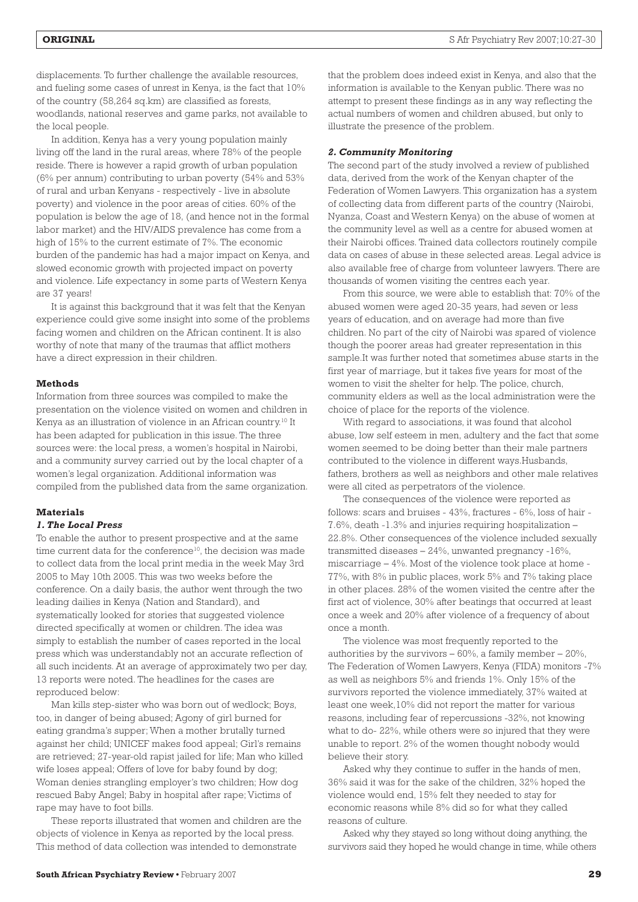displacements. To further challenge the available resources, and fueling some cases of unrest in Kenya, is the fact that 10% of the country (58,264 sq.km) are classified as forests, woodlands, national reserves and game parks, not available to the local people.

In addition, Kenya has a very young population mainly living off the land in the rural areas, where 78% of the people reside. There is however a rapid growth of urban population (6% per annum) contributing to urban poverty (54% and 53% of rural and urban Kenyans - respectively - live in absolute poverty) and violence in the poor areas of cities. 60% of the population is below the age of 18, (and hence not in the formal labor market) and the HIV/AIDS prevalence has come from a high of 15% to the current estimate of 7%. The economic burden of the pandemic has had a major impact on Kenya, and slowed economic growth with projected impact on poverty and violence. Life expectancy in some parts of Western Kenya are 37 years!

It is against this background that it was felt that the Kenyan experience could give some insight into some of the problems facing women and children on the African continent. It is also worthy of note that many of the traumas that afflict mothers have a direct expression in their children.

#### **Methods**

Information from three sources was compiled to make the presentation on the violence visited on women and children in Kenya as an illustration of violence in an African country.<sup>10</sup> It has been adapted for publication in this issue. The three sources were: the local press, a women's hospital in Nairobi, and a community survey carried out by the local chapter of a women's legal organization. Additional information was compiled from the published data from the same organization.

## **Materials**

#### *1. The Local Press*

To enable the author to present prospective and at the same time current data for the conference<sup>10</sup>, the decision was made to collect data from the local print media in the week May 3rd 2005 to May 10th 2005. This was two weeks before the conference. On a daily basis, the author went through the two leading dailies in Kenya (Nation and Standard), and systematically looked for stories that suggested violence directed specifically at women or children. The idea was simply to establish the number of cases reported in the local press which was understandably not an accurate reflection of all such incidents. At an average of approximately two per day, 13 reports were noted. The headlines for the cases are reproduced below:

Man kills step-sister who was born out of wedlock; Boys, too, in danger of being abused; Agony of girl burned for eating grandma's supper; When a mother brutally turned against her child; UNICEF makes food appeal; Girl's remains are retrieved; 27-year-old rapist jailed for life; Man who killed wife loses appeal; Offers of love for baby found by dog; Woman denies strangling employer's two children; How dog rescued Baby Angel; Baby in hospital after rape; Victims of rape may have to foot bills.

These reports illustrated that women and children are the objects of violence in Kenya as reported by the local press. This method of data collection was intended to demonstrate

that the problem does indeed exist in Kenya, and also that the information is available to the Kenyan public. There was no attempt to present these findings as in any way reflecting the actual numbers of women and children abused, but only to illustrate the presence of the problem.

#### *2. Community Monitoring*

The second part of the study involved a review of published data, derived from the work of the Kenyan chapter of the Federation of Women Lawyers. This organization has a system of collecting data from different parts of the country (Nairobi, Nyanza, Coast and Western Kenya) on the abuse of women at the community level as well as a centre for abused women at their Nairobi offices. Trained data collectors routinely compile data on cases of abuse in these selected areas. Legal advice is also available free of charge from volunteer lawyers. There are thousands of women visiting the centres each year.

From this source, we were able to establish that: 70% of the abused women were aged 20-35 years, had seven or less years of education, and on average had more than five children. No part of the city of Nairobi was spared of violence though the poorer areas had greater representation in this sample.It was further noted that sometimes abuse starts in the first year of marriage, but it takes five years for most of the women to visit the shelter for help. The police, church, community elders as well as the local administration were the choice of place for the reports of the violence.

With regard to associations, it was found that alcohol abuse, low self esteem in men, adultery and the fact that some women seemed to be doing better than their male partners contributed to the violence in different ways.Husbands, fathers, brothers as well as neighbors and other male relatives were all cited as perpetrators of the violence.

The consequences of the violence were reported as follows: scars and bruises - 43%, fractures - 6%, loss of hair - 7.6%, death -1.3% and injuries requiring hospitalization – 22.8%. Other consequences of the violence included sexually transmitted diseases – 24%, unwanted pregnancy -16%, miscarriage – 4%. Most of the violence took place at home - 77%, with 8% in public places, work 5% and 7% taking place in other places. 28% of the women visited the centre after the first act of violence, 30% after beatings that occurred at least once a week and 20% after violence of a frequency of about once a month.

The violence was most frequently reported to the authorities by the survivors  $-60\%$ , a family member  $-20\%$ , The Federation of Women Lawyers, Kenya (FIDA) monitors -7% as well as neighbors 5% and friends 1%. Only 15% of the survivors reported the violence immediately, 37% waited at least one week,10% did not report the matter for various reasons, including fear of repercussions -32%, not knowing what to do- 22%, while others were so injured that they were unable to report. 2% of the women thought nobody would believe their story.

Asked why they continue to suffer in the hands of men, 36% said it was for the sake of the children, 32% hoped the violence would end, 15% felt they needed to stay for economic reasons while 8% did so for what they called reasons of culture.

Asked why they stayed so long without doing anything, the survivors said they hoped he would change in time, while others